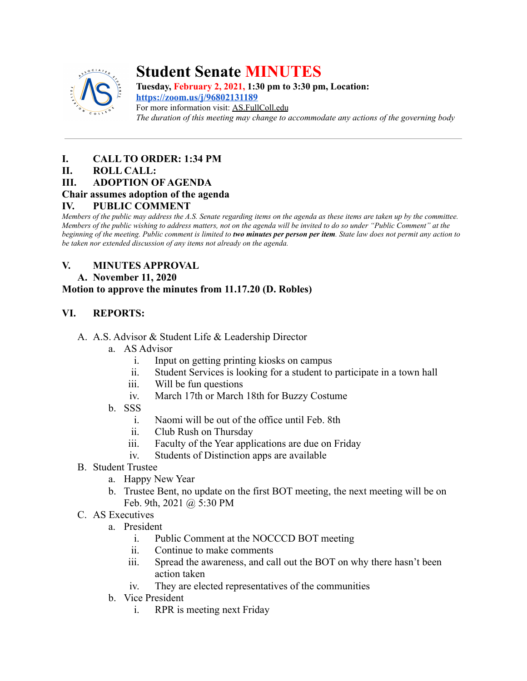

# **Student Senate MINUTES**

**Tuesday, February 2, 2021, 1:30 pm to 3:30 pm, Location: <https://zoom.us/j/96802131189>** For more information visit: AS.FullColl.edu *The duration of this meeting may change to accommodate any actions of the governing body*

## **I. CALL TO ORDER: 1:34 PM**

#### **II. ROLL CALL:**

### **III. ADOPTION OF AGENDA**

#### **Chair assumes adoption of the agenda**

#### **IV. PUBLIC COMMENT**

*Members of the public may address the A.S. Senate regarding items on the agenda as these items are taken up by the committee. Members of the public wishing to address matters, not on the agenda will be invited to do so under "Public Comment" at the beginning of the meeting. Public comment is limited to two minutes per person per item. State law does not permit any action to be taken nor extended discussion of any items not already on the agenda.*

# **V. MINUTES APPROVAL**

#### **A. November 11, 2020**

### **Motion to approve the minutes from 11.17.20 (D. Robles)**

### **VI. REPORTS:**

- A. A.S. Advisor & Student Life & Leadership Director
	- a. AS Advisor
		- i. Input on getting printing kiosks on campus
		- ii. Student Services is looking for a student to participate in a town hall
		- iii. Will be fun questions
		- iv. March 17th or March 18th for Buzzy Costume
	- b. SSS
		- i. Naomi will be out of the office until Feb. 8th
		- ii. Club Rush on Thursday
		- iii. Faculty of the Year applications are due on Friday
		- iv. Students of Distinction apps are available
- B. Student Trustee
	- a. Happy New Year
	- b. Trustee Bent, no update on the first BOT meeting, the next meeting will be on Feb. 9th, 2021 @ 5:30 PM
- C. AS Executives
	- a. President
		- i. Public Comment at the NOCCCD BOT meeting
		- ii. Continue to make comments
		- iii. Spread the awareness, and call out the BOT on why there hasn't been action taken
		- iv. They are elected representatives of the communities
	- b. Vice President
		- i. RPR is meeting next Friday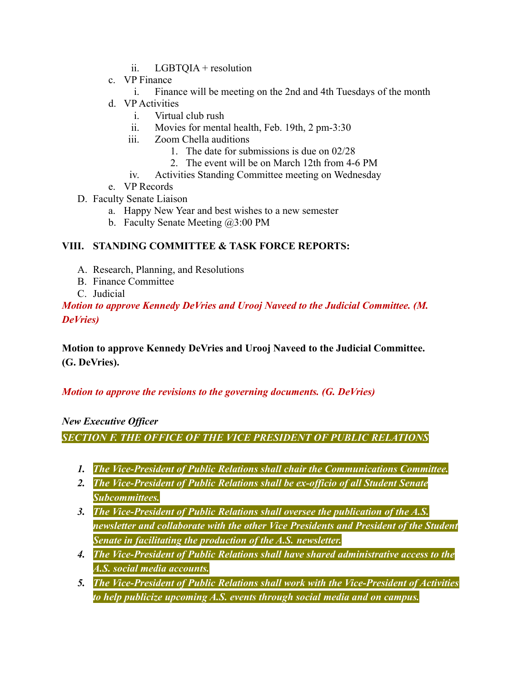- ii. LGBTQIA + resolution
- c. VP Finance
	- i. Finance will be meeting on the 2nd and 4th Tuesdays of the month
- d. VP Activities
	- i. Virtual club rush
	- ii. Movies for mental health, Feb. 19th, 2 pm-3:30
	- iii. Zoom Chella auditions
		- 1. The date for submissions is due on 02/28
		- 2. The event will be on March 12th from 4-6 PM
	- iv. Activities Standing Committee meeting on Wednesday
- e. VP Records
- D. Faculty Senate Liaison
	- a. Happy New Year and best wishes to a new semester
	- b. Faculty Senate Meeting @3:00 PM

# **VIII. STANDING COMMITTEE & TASK FORCE REPORTS:**

- A. Research, Planning, and Resolutions
- B. Finance Committee
- C. Judicial

*Motion to approve Kennedy DeVries and Urooj Naveed to the Judicial Committee. (M. DeVries)*

**Motion to approve Kennedy DeVries and Urooj Naveed to the Judicial Committee. (G. DeVries).**

# *Motion to approve the revisions to the governing documents. (G. DeVries)*

### *New Executive Officer*

*SECTION F. THE OFFICE OF THE VICE PRESIDENT OF PUBLIC RELATIONS*

- *1. The Vice-President of Public Relations shall chair the Communications Committee.*
- *2. The Vice-President of Public Relations shall be ex-officio of all Student Senate Subcommittees.*
- *3. The Vice-President of Public Relations shall oversee the publication of the A.S. newsletter and collaborate with the other Vice Presidents and President of the Student Senate in facilitating the production of the A.S. newsletter.*
- *4. The Vice-President of Public Relations shall have shared administrative access to the A.S. social media accounts.*
- *5. The Vice-President of Public Relations shall work with the Vice-President of Activities to help publicize upcoming A.S. events through social media and on campus.*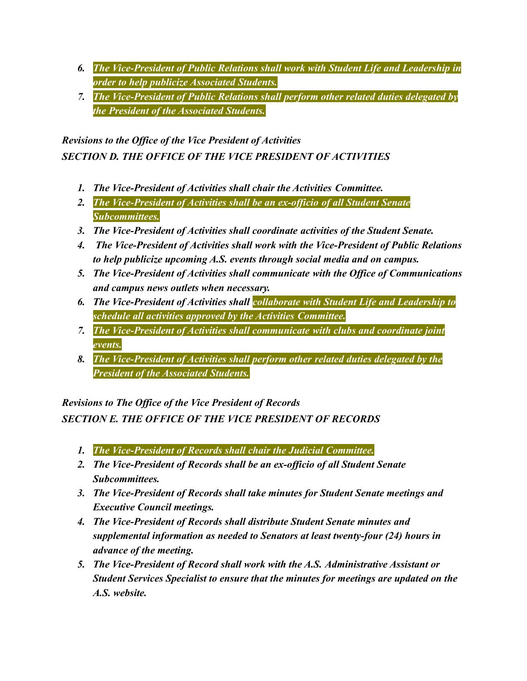- *6. The Vice-President of Public Relations shall work with Student Life and Leadership in order to help publicize Associated Students.*
- *7. The Vice-President of Public Relations shall perform other related duties delegated by the President of the Associated Students.*

*Revisions to the Office of the Vice President of Activities SECTION D. THE OFFICE OF THE VICE PRESIDENT OF ACTIVITIES*

- *1. The Vice-President of Activities shall chair the Activities Committee.*
- *2. The Vice-President of Activities shall be an ex-officio of all Student Senate Subcommittees.*
- *3. The Vice-President of Activities shall coordinate activities of the Student Senate.*
- *4. The Vice-President of Activities shall work with the Vice-President of Public Relations to help publicize upcoming A.S. events through social media and on campus.*
- *5. The Vice-President of Activities shall communicate with the Office of Communications and campus news outlets when necessary.*
- *6. The Vice-President of Activities shall collaborate with Student Life and Leadership to schedule all activities approved by the Activities Committee.*
- *7. The Vice-President of Activities shall communicate with clubs and coordinate joint events.*
- *8. The Vice-President of Activities shall perform other related duties delegated by the President of the Associated Students.*

*Revisions to The Office of the Vice President of Records*

*SECTION E. THE OFFICE OF THE VICE PRESIDENT OF RECORDS*

- *1. The Vice-President of Records shall chair the Judicial Committee.*
- *2. The Vice-President of Records shall be an ex-officio of all Student Senate Subcommittees.*
- *3. The Vice-President of Records shall take minutes for Student Senate meetings and Executive Council meetings.*
- *4. The Vice-President of Records shall distribute Student Senate minutes and supplemental information as needed to Senators at least twenty-four (24) hours in advance of the meeting.*
- *5. The Vice-President of Record shall work with the A.S. Administrative Assistant or Student Services Specialist to ensure that the minutes for meetings are updated on the A.S. website.*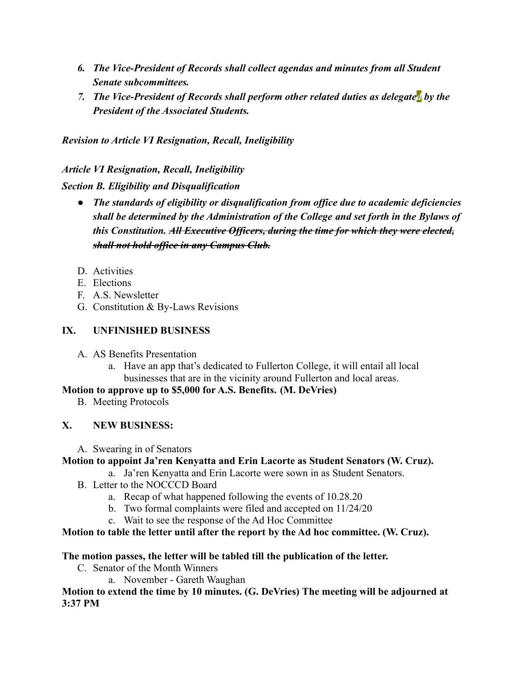- *6. The Vice-President of Records shall collect agendas and minutes from all Student Senate subcommittees.*
- *7. The Vice-President of Records shall perform other related duties as delegated by the President of the Associated Students.*

*Revision to Article VI Resignation, Recall, Ineligibility*

*Article VI Resignation, Recall, Ineligibility*

*Section B. Eligibility and Disqualification*

- *● The standards of eligibility or disqualification from office due to academic deficiencies shall be determined by the Administration of the College and set forth in the Bylaws of this Constitution. All Executive Officers, during the time for which they were elected, shall not hold office in any Campus Club.*
- D. Activities
- E. Elections
- F. A.S. Newsletter
- G. Constitution & By-Laws Revisions

# **IX. UNFINISHED BUSINESS**

- A. AS Benefits Presentation
	- a. Have an app that's dedicated to Fullerton College, it will entail all local businesses that are in the vicinity around Fullerton and local areas.

# **Motion to approve up to \$5,000 for A.S. Benefits. (M. DeVries)**

B. Meeting Protocols

# **X. NEW BUSINESS:**

A. Swearing in of Senators

# **Motion to appoint Ja'ren Kenyatta and Erin Lacorte as Student Senators (W. Cruz).**

- a. Ja'ren Kenyatta and Erin Lacorte were sown in as Student Senators.
- B. Letter to the NOCCCD Board
	- a. Recap of what happened following the events of 10.28.20
	- b. Two formal complaints were filed and accepted on 11/24/20
		- c. Wait to see the response of the Ad Hoc Committee

# **Motion to table the letter until after the report by the Ad hoc committee. (W. Cruz).**

# **The motion passes, the letter will be tabled till the publication of the letter.**

- C. Senator of the Month Winners
	- a. November Gareth Waughan

**Motion to extend the time by 10 minutes. (G. DeVries) The meeting will be adjourned at 3:37 PM**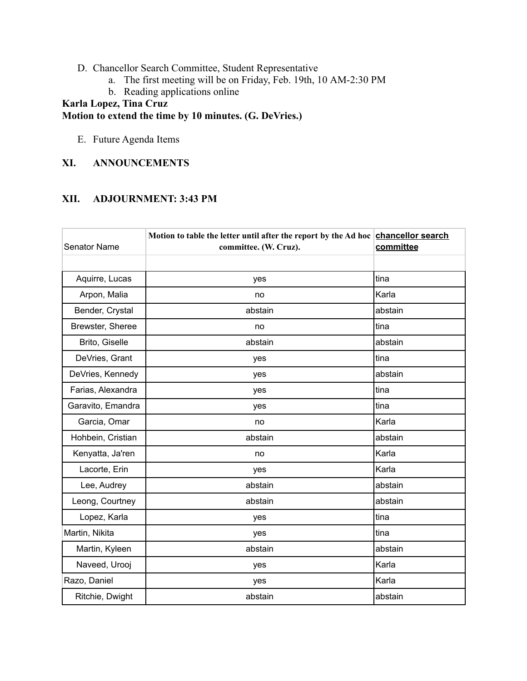- D. Chancellor Search Committee, Student Representative
	- a. The first meeting will be on Friday, Feb. 19th, 10 AM-2:30 PM
	- b. Reading applications online

# **Karla Lopez, Tina Cruz Motion to extend the time by 10 minutes. (G. DeVries.)**

E. Future Agenda Items

# **XI. ANNOUNCEMENTS**

### **XII. ADJOURNMENT: 3:43 PM**

| <b>Senator Name</b> | Motion to table the letter until after the report by the Ad hoc chancellor search<br>committee. (W. Cruz). | committee |
|---------------------|------------------------------------------------------------------------------------------------------------|-----------|
| Aquirre, Lucas      | yes                                                                                                        | tina      |
| Arpon, Malia        | no                                                                                                         | Karla     |
| Bender, Crystal     | abstain                                                                                                    | abstain   |
| Brewster, Sheree    | no                                                                                                         | tina      |
| Brito, Giselle      | abstain                                                                                                    | abstain   |
| DeVries, Grant      | yes                                                                                                        | tina      |
| DeVries, Kennedy    | yes                                                                                                        | abstain   |
| Farias, Alexandra   | yes                                                                                                        | tina      |
| Garavito, Emandra   | yes                                                                                                        | tina      |
| Garcia, Omar        | no                                                                                                         | Karla     |
| Hohbein, Cristian   | abstain                                                                                                    | abstain   |
| Kenyatta, Ja'ren    | no                                                                                                         | Karla     |
| Lacorte, Erin       | yes                                                                                                        | Karla     |
| Lee, Audrey         | abstain                                                                                                    | abstain   |
| Leong, Courtney     | abstain                                                                                                    | abstain   |
| Lopez, Karla        | yes                                                                                                        | tina      |
| Martin, Nikita      | yes                                                                                                        | tina      |
| Martin, Kyleen      | abstain                                                                                                    | abstain   |
| Naveed, Urooj       | yes                                                                                                        | Karla     |
| Razo, Daniel        | yes                                                                                                        | Karla     |
| Ritchie, Dwight     | abstain                                                                                                    | abstain   |